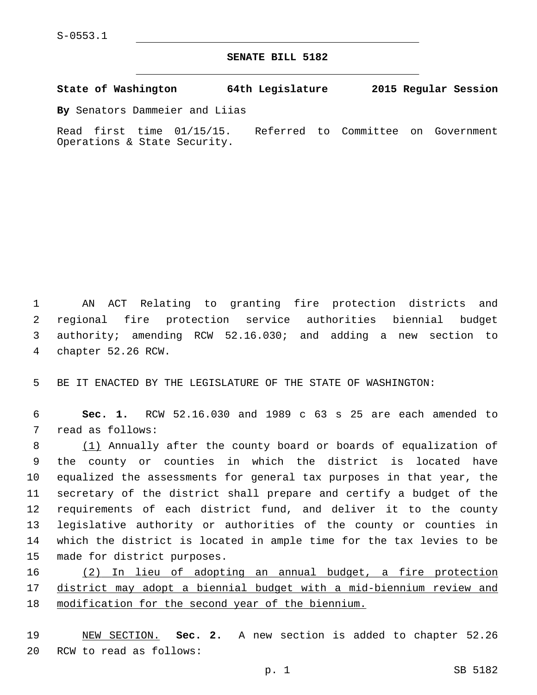S-0553.1

**SENATE BILL 5182**

**State of Washington 64th Legislature 2015 Regular Session**

**By** Senators Dammeier and Liias

Read first time 01/15/15. Referred to Committee on Government Operations & State Security.

 AN ACT Relating to granting fire protection districts and regional fire protection service authorities biennial budget authority; amending RCW 52.16.030; and adding a new section to 4 chapter 52.26 RCW.

5 BE IT ENACTED BY THE LEGISLATURE OF THE STATE OF WASHINGTON:

6 **Sec. 1.** RCW 52.16.030 and 1989 c 63 s 25 are each amended to 7 read as follows:

8 (1) Annually after the county board or boards of equalization of the county or counties in which the district is located have equalized the assessments for general tax purposes in that year, the secretary of the district shall prepare and certify a budget of the requirements of each district fund, and deliver it to the county legislative authority or authorities of the county or counties in which the district is located in ample time for the tax levies to be 15 made for district purposes.

16 (2) In lieu of adopting an annual budget, a fire protection 17 district may adopt a biennial budget with a mid-biennium review and 18 modification for the second year of the biennium.

19 NEW SECTION. **Sec. 2.** A new section is added to chapter 52.26 20 RCW to read as follows: